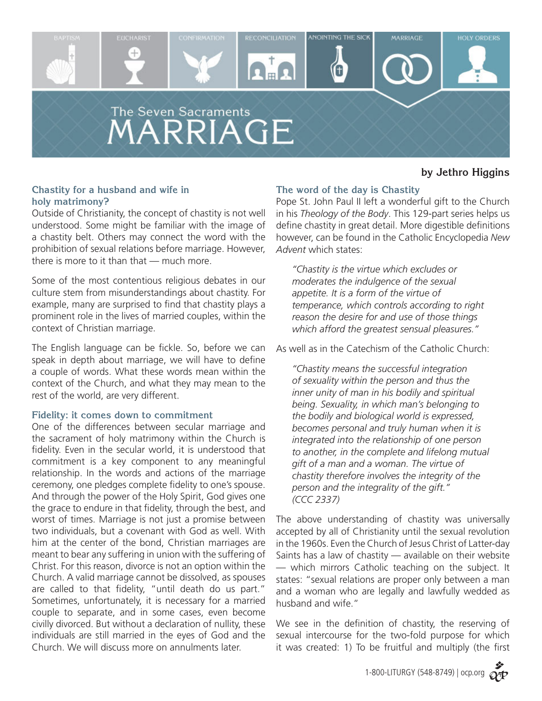

# **by Jethro Higgins**

# **Chastity for a husband and wife in holy matrimony?**

Outside of Christianity, the concept of chastity is not well understood. Some might be familiar with the image of a chastity belt. Others may connect the word with the prohibition of sexual relations before marriage. However, there is more to it than that — much more.

Some of the most contentious religious debates in our culture stem from misunderstandings about chastity. For example, many are surprised to find that chastity plays a prominent role in the lives of married couples, within the context of Christian marriage.

The English language can be fickle. So, before we can speak in depth about marriage, we will have to define a couple of words. What these words mean within the context of the Church, and what they may mean to the rest of the world, are very different.

### **Fidelity: it comes down to commitment**

One of the differences between secular marriage and the sacrament of holy matrimony within the Church is fidelity. Even in the secular world, it is understood that commitment is a key component to any meaningful relationship. In the words and actions of the marriage ceremony, one pledges complete fidelity to one's spouse. And through the power of the Holy Spirit, God gives one the grace to endure in that fidelity, through the best, and worst of times. Marriage is not just a promise between two individuals, but a covenant with God as well. With him at the center of the bond, Christian marriages are meant to bear any suffering in union with the suffering of Christ. For this reason, divorce is not an option within the Church. A valid marriage cannot be dissolved, as spouses are called to that fidelity, "until death do us part." Sometimes, unfortunately, it is necessary for a married couple to separate, and in some cases, even become civilly divorced. But without a declaration of nullity, these individuals are still married in the eyes of God and the Church. We will discuss more on annulments later.

# **The word of the day is Chastity**

Pope St. John Paul II left a wonderful gift to the Church in his *Theology of the Body*. This 129-part series helps us define chastity in great detail. More digestible definitions however, can be found in the Catholic Encyclopedia *New Advent* which states:

*"Chastity is the virtue which excludes or moderates the indulgence of the sexual appetite. It is a form of the virtue of temperance, which controls according to right reason the desire for and use of those things which afford the greatest sensual pleasures."*

As well as in the Catechism of the Catholic Church:

*"Chastity means the successful integration of sexuality within the person and thus the inner unity of man in his bodily and spiritual being. Sexuality, in which man's belonging to the bodily and biological world is expressed, becomes personal and truly human when it is integrated into the relationship of one person to another, in the complete and lifelong mutual gift of a man and a woman. The virtue of chastity therefore involves the integrity of the person and the integrality of the gift." (CCC 2337)*

The above understanding of chastity was universally accepted by all of Christianity until the sexual revolution in the 1960s. Even the Church of Jesus Christ of Latter-day Saints has a law of chastity — available on their website — which mirrors Catholic teaching on the subject. It states: "sexual relations are proper only between a man and a woman who are legally and lawfully wedded as husband and wife."

We see in the definition of chastity, the reserving of sexual intercourse for the two-fold purpose for which it was created: 1) To be fruitful and multiply (the first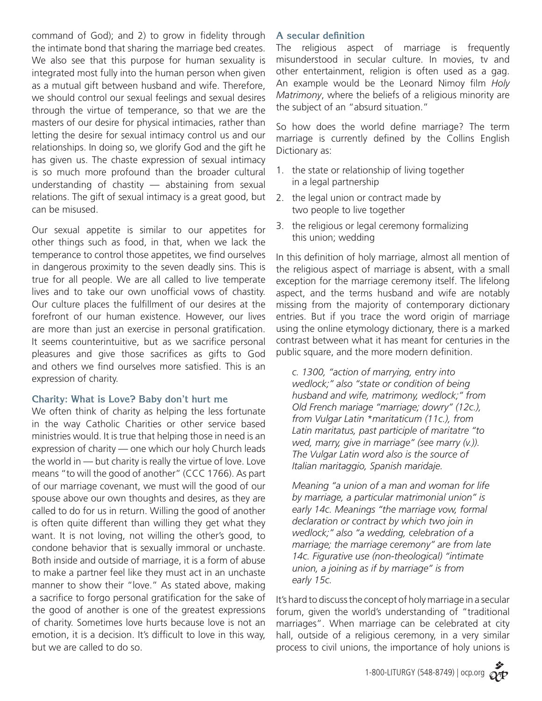command of God); and 2) to grow in fidelity through the intimate bond that sharing the marriage bed creates. We also see that this purpose for human sexuality is integrated most fully into the human person when given as a mutual gift between husband and wife. Therefore, we should control our sexual feelings and sexual desires through the virtue of temperance, so that we are the masters of our desire for physical intimacies, rather than letting the desire for sexual intimacy control us and our relationships. In doing so, we glorify God and the gift he has given us. The chaste expression of sexual intimacy is so much more profound than the broader cultural understanding of chastity — abstaining from sexual relations. The gift of sexual intimacy is a great good, but can be misused.

Our sexual appetite is similar to our appetites for other things such as food, in that, when we lack the temperance to control those appetites, we find ourselves in dangerous proximity to the seven deadly sins. This is true for all people. We are all called to live temperate lives and to take our own unofficial vows of chastity. Our culture places the fulfillment of our desires at the forefront of our human existence. However, our lives are more than just an exercise in personal gratification. It seems counterintuitive, but as we sacrifice personal pleasures and give those sacrifices as gifts to God and others we find ourselves more satisfied. This is an expression of charity.

# **Charity: What is Love? Baby don't hurt me**

We often think of charity as helping the less fortunate in the way Catholic Charities or other service based ministries would. It is true that helping those in need is an expression of charity — one which our holy Church leads the world in — but charity is really the virtue of love. Love means "to will the good of another" (CCC 1766). As part of our marriage covenant, we must will the good of our spouse above our own thoughts and desires, as they are called to do for us in return. Willing the good of another is often quite different than willing they get what they want. It is not loving, not willing the other's good, to condone behavior that is sexually immoral or unchaste. Both inside and outside of marriage, it is a form of abuse to make a partner feel like they must act in an unchaste manner to show their "love." As stated above, making a sacrifice to forgo personal gratification for the sake of the good of another is one of the greatest expressions of charity. Sometimes love hurts because love is not an emotion, it is a decision. It's difficult to love in this way, but we are called to do so.

### **A secular definition**

The religious aspect of marriage is frequently misunderstood in secular culture. In movies, tv and other entertainment, religion is often used as a gag. An example would be the Leonard Nimoy film *Holy Matrimony*, where the beliefs of a religious minority are the subject of an "absurd situation."

So how does the world define marriage? The term marriage is currently defined by the Collins English Dictionary as:

- 1. the state or relationship of living together in a legal partnership
- 2. the legal union or contract made by two people to live together
- 3. the religious or legal ceremony formalizing this union; wedding

In this definition of holy marriage, almost all mention of the religious aspect of marriage is absent, with a small exception for the marriage ceremony itself. The lifelong aspect, and the terms husband and wife are notably missing from the majority of contemporary dictionary entries. But if you trace the word origin of marriage using the online etymology dictionary, there is a marked contrast between what it has meant for centuries in the public square, and the more modern definition.

*c. 1300, "action of marrying, entry into wedlock;" also "state or condition of being husband and wife, matrimony, wedlock;" from Old French mariage "marriage; dowry" (12c.), from Vulgar Latin \*maritaticum (11c.), from Latin maritatus, past participle of maritatre "to wed, marry, give in marriage" (see marry (v.)). The Vulgar Latin word also is the source of Italian maritaggio, Spanish maridaje.*

*Meaning "a union of a man and woman for life by marriage, a particular matrimonial union" is early 14c. Meanings "the marriage vow, formal declaration or contract by which two join in wedlock;" also "a wedding, celebration of a marriage; the marriage ceremony" are from late 14c. Figurative use (non-theological) "intimate union, a joining as if by marriage" is from early 15c.*

It's hard to discuss the concept of holy marriage in a secular forum, given the world's understanding of "traditional marriages". When marriage can be celebrated at city hall, outside of a religious ceremony, in a very similar process to civil unions, the importance of holy unions is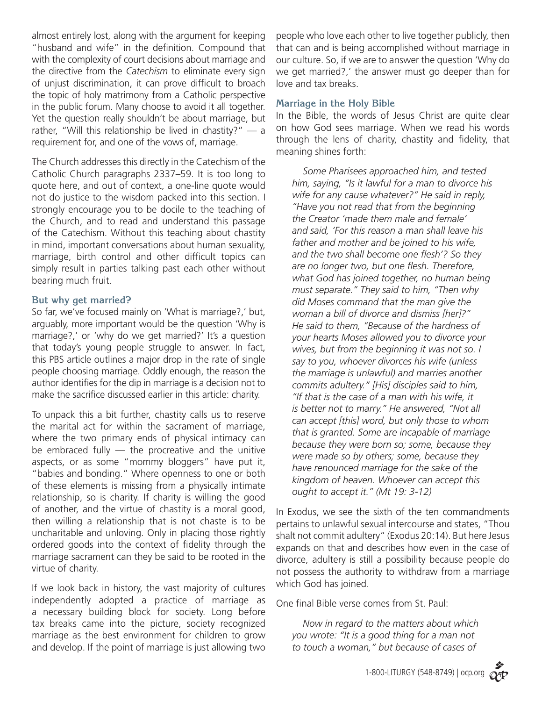almost entirely lost, along with the argument for keeping "husband and wife" in the definition. Compound that with the complexity of court decisions about marriage and the directive from the *Catechism* to eliminate every sign of unjust discrimination, it can prove difficult to broach the topic of holy matrimony from a Catholic perspective in the public forum. Many choose to avoid it all together. Yet the question really shouldn't be about marriage, but rather, "Will this relationship be lived in chastity?"  $-$  a requirement for, and one of the vows of, marriage.

The Church addresses this directly in the Catechism of the Catholic Church paragraphs 2337–59. It is too long to quote here, and out of context, a one-line quote would not do justice to the wisdom packed into this section. I strongly encourage you to be docile to the teaching of the Church, and to read and understand this passage of the Catechism. Without this teaching about chastity in mind, important conversations about human sexuality, marriage, birth control and other difficult topics can simply result in parties talking past each other without bearing much fruit.

## **But why get married?**

So far, we've focused mainly on 'What is marriage?,' but, arguably, more important would be the question 'Why is marriage?,' or 'why do we get married?' It's a question that today's young people struggle to answer. In fact, this PBS article outlines a major drop in the rate of single people choosing marriage. Oddly enough, the reason the author identifies for the dip in marriage is a decision not to make the sacrifice discussed earlier in this article: charity.

To unpack this a bit further, chastity calls us to reserve the marital act for within the sacrament of marriage, where the two primary ends of physical intimacy can be embraced fully — the procreative and the unitive aspects, or as some "mommy bloggers" have put it, "babies and bonding." Where openness to one or both of these elements is missing from a physically intimate relationship, so is charity. If charity is willing the good of another, and the virtue of chastity is a moral good, then willing a relationship that is not chaste is to be uncharitable and unloving. Only in placing those rightly ordered goods into the context of fidelity through the marriage sacrament can they be said to be rooted in the virtue of charity.

If we look back in history, the vast majority of cultures independently adopted a practice of marriage as a necessary building block for society. Long before tax breaks came into the picture, society recognized marriage as the best environment for children to grow and develop. If the point of marriage is just allowing two people who love each other to live together publicly, then that can and is being accomplished without marriage in our culture. So, if we are to answer the question 'Why do we get married?,' the answer must go deeper than for love and tax breaks.

## **Marriage in the Holy Bible**

In the Bible, the words of Jesus Christ are quite clear on how God sees marriage. When we read his words through the lens of charity, chastity and fidelity, that meaning shines forth:

 *Some Pharisees approached him, and tested him, saying, "Is it lawful for a man to divorce his wife for any cause whatever?" He said in reply, "Have you not read that from the beginning the Creator 'made them male and female' and said, 'For this reason a man shall leave his father and mother and be joined to his wife, and the two shall become one flesh'? So they are no longer two, but one flesh. Therefore, what God has joined together, no human being must separate." They said to him, "Then why did Moses command that the man give the woman a bill of divorce and dismiss [her]?" He said to them, "Because of the hardness of your hearts Moses allowed you to divorce your wives, but from the beginning it was not so. I say to you, whoever divorces his wife (unless the marriage is unlawful) and marries another commits adultery." [His] disciples said to him, "If that is the case of a man with his wife, it is better not to marry." He answered, "Not all can accept [this] word, but only those to whom that is granted. Some are incapable of marriage because they were born so; some, because they were made so by others; some, because they have renounced marriage for the sake of the kingdom of heaven. Whoever can accept this ought to accept it." (Mt 19: 3-12)*

In Exodus, we see the sixth of the ten commandments pertains to unlawful sexual intercourse and states, "Thou shalt not commit adultery" (Exodus 20:14). But here Jesus expands on that and describes how even in the case of divorce, adultery is still a possibility because people do not possess the authority to withdraw from a marriage which God has joined.

One final Bible verse comes from St. Paul:

 *Now in regard to the matters about which you wrote: "It is a good thing for a man not to touch a woman," but because of cases of*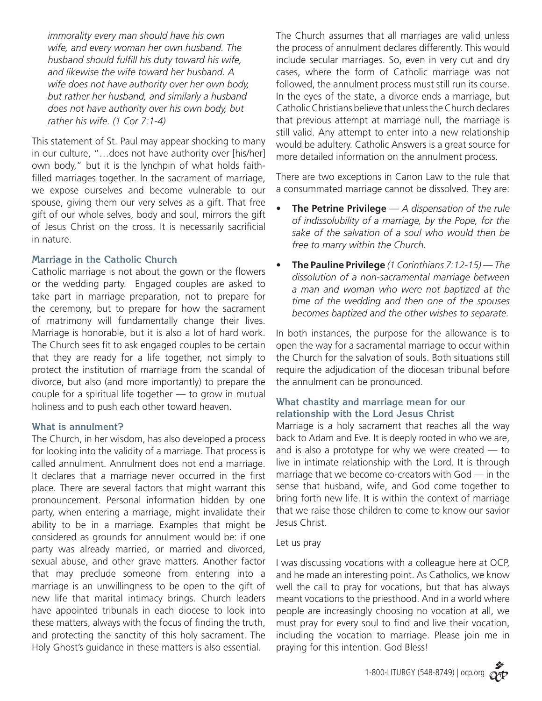*immorality every man should have his own wife, and every woman her own husband. The husband should fulfill his duty toward his wife, and likewise the wife toward her husband. A wife does not have authority over her own body, but rather her husband, and similarly a husband does not have authority over his own body, but rather his wife. (1 Cor 7:1-4)*

This statement of St. Paul may appear shocking to many in our culture, "…does not have authority over [his/her] own body," but it is the lynchpin of what holds faithfilled marriages together. In the sacrament of marriage, we expose ourselves and become vulnerable to our spouse, giving them our very selves as a gift. That free gift of our whole selves, body and soul, mirrors the gift of Jesus Christ on the cross. It is necessarily sacrificial in nature.

## **Marriage in the Catholic Church**

Catholic marriage is not about the gown or the flowers or the wedding party. Engaged couples are asked to take part in marriage preparation, not to prepare for the ceremony, but to prepare for how the sacrament of matrimony will fundamentally change their lives. Marriage is honorable, but it is also a lot of hard work. The Church sees fit to ask engaged couples to be certain that they are ready for a life together, not simply to protect the institution of marriage from the scandal of divorce, but also (and more importantly) to prepare the couple for a spiritual life together — to grow in mutual holiness and to push each other toward heaven.

### **What is annulment?**

The Church, in her wisdom, has also developed a process for looking into the validity of a marriage. That process is called annulment. Annulment does not end a marriage. It declares that a marriage never occurred in the first place. There are several factors that might warrant this pronouncement. Personal information hidden by one party, when entering a marriage, might invalidate their ability to be in a marriage. Examples that might be considered as grounds for annulment would be: if one party was already married, or married and divorced, sexual abuse, and other grave matters. Another factor that may preclude someone from entering into a marriage is an unwillingness to be open to the gift of new life that marital intimacy brings. Church leaders have appointed tribunals in each diocese to look into these matters, always with the focus of finding the truth, and protecting the sanctity of this holy sacrament. The Holy Ghost's guidance in these matters is also essential.

The Church assumes that all marriages are valid unless the process of annulment declares differently. This would include secular marriages. So, even in very cut and dry cases, where the form of Catholic marriage was not followed, the annulment process must still run its course. In the eyes of the state, a divorce ends a marriage, but Catholic Christians believe that unless the Church declares that previous attempt at marriage null, the marriage is still valid. Any attempt to enter into a new relationship would be adultery. Catholic Answers is a great source for more detailed information on the annulment process.

There are two exceptions in Canon Law to the rule that a consummated marriage cannot be dissolved. They are:

- **• The Petrine Privilege** *A dispensation of the rule of indissolubility of a marriage, by the Pope, for the sake of the salvation of a soul who would then be free to marry within the Church.*
- **• The Pauline Privilege** *(1 Corinthians 7:12-15) The dissolution of a non-sacramental marriage between a man and woman who were not baptized at the time of the wedding and then one of the spouses becomes baptized and the other wishes to separate.*

In both instances, the purpose for the allowance is to open the way for a sacramental marriage to occur within the Church for the salvation of souls. Both situations still require the adjudication of the diocesan tribunal before the annulment can be pronounced.

# **What chastity and marriage mean for our relationship with the Lord Jesus Christ**

Marriage is a holy sacrament that reaches all the way back to Adam and Eve. It is deeply rooted in who we are, and is also a prototype for why we were created  $-$  to live in intimate relationship with the Lord. It is through marriage that we become co-creators with God — in the sense that husband, wife, and God come together to bring forth new life. It is within the context of marriage that we raise those children to come to know our savior Jesus Christ.

### Let us pray

I was discussing vocations with a colleague here at OCP, and he made an interesting point. As Catholics, we know well the call to pray for vocations, but that has always meant vocations to the priesthood. And in a world where people are increasingly choosing no vocation at all, we must pray for every soul to find and live their vocation, including the vocation to marriage. Please join me in praying for this intention. God Bless!